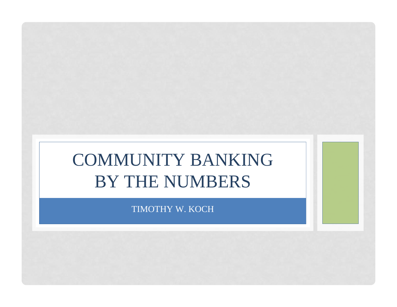# COMMUNITY BANKING BY THE NUMBERS

TIMOTHY W. KOCH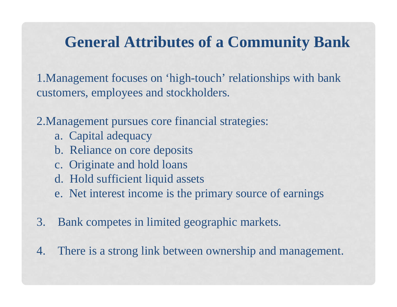### **General Attributes of a Community Bank**

1.Management focuses on 'high-touch' relationships with bank customers, employees and stockholders.

2.Management pursues core financial strategies:

- a. Capital adequacy
- b. Reliance on core deposits
- c. Originate and hold loans
- d. Hold sufficient liquid assets
- e. Net interest income is the primary source of earnings
- 3. Bank competes in limited geographic markets.

4. There is a strong link between ownership and management.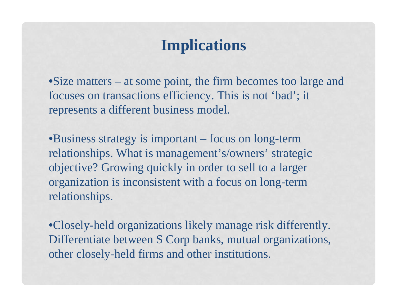## **Implications**

•Size matters – at some point, the firm becomes too large and focuses on transactions efficiency. This is not 'bad'; it represents a different business model.

•Business strategy is important – focus on long-term relationships. What is management's/owners' strategic objective? Growing quickly in order to sell to a larger organization is inconsistent with a focus on long-term relationships.

•Closely-held organizations likely manage risk differently. Differentiate between S Corp banks, mutual organizations, other closely-held firms and other institutions.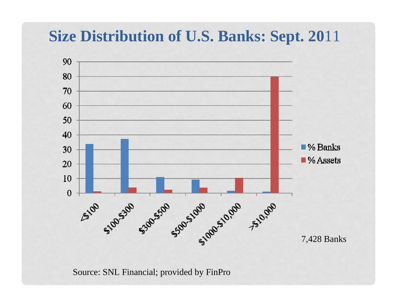## **Size Distribution of U.S. Banks: Sept. 20**11



Source: SNL Financial; provided by FinPro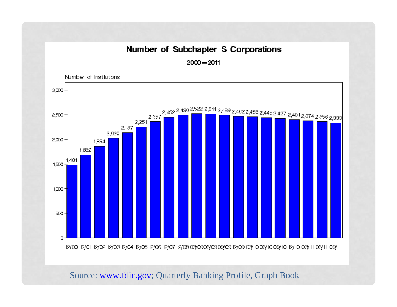#### Number of Subchapter S Corporations

 $2000 - 2011$ 



Source: [www.fdic.gov](http://www.fdic.gov/); Quarterly Banking Profile, Graph Book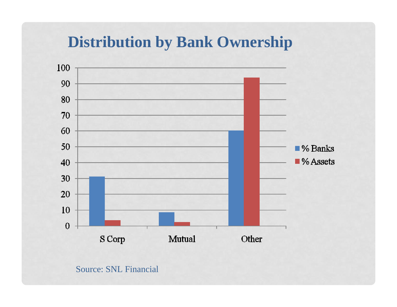### **Distribution by Bank Ownership**



### Source: SNL Financial